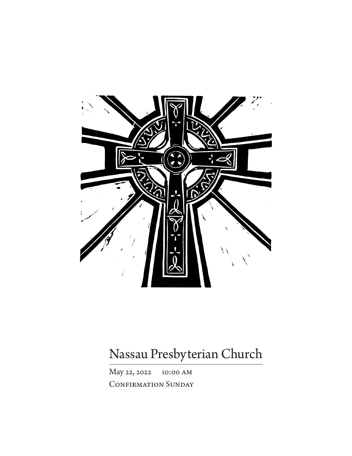

# Nassau Presbyterian Church

May 22, 2022 10:00 am CONFIRMATION SUNDAY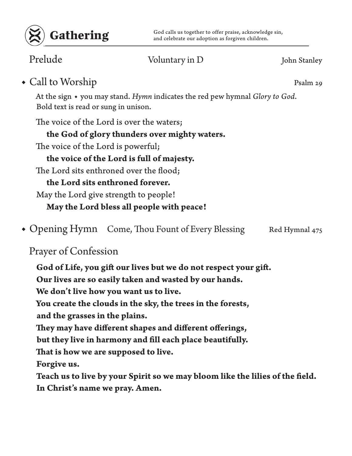

Prelude Voluntary in D John Stanley

### ◆ Call to Worship Psalm 29

At the sign ◆ you may stand. *Hymn* indicates the red pew hymnal *Glory to God*. Bold text is read or sung in unison.

The voice of the Lord is over the waters; **the God of glory thunders over mighty waters.** The voice of the Lord is powerful; **the voice of the Lord is full of majesty.** The Lord sits enthroned over the flood; **the Lord sits enthroned forever.** May the Lord give strength to people! **May the Lord bless all people with peace!**

• Opening Hymn Come, Thou Fount of Every Blessing Red Hymnal 475

Prayer of Confession

**God of Life, you gift our lives but we do not respect your gift.** 

**Our lives are so easily taken and wasted by our hands.** 

**We don't live how you want us to live.** 

**You create the clouds in the sky, the trees in the forests,** 

**and the grasses in the plains.** 

**They may have different shapes and different offerings,** 

**but they live in harmony and fill each place beautifully.** 

**That is how we are supposed to live.** 

**Forgive us.**

**Teach us to live by your Spirit so we may bloom like the lilies of the field. In Christ's name we pray. Amen.**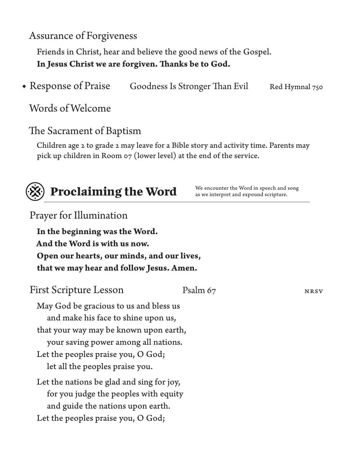#### Assurance of Forgiveness

Friends in Christ, hear and believe the good news of the Gospel. **In Jesus Christ we are forgiven. Thanks be to God.**

• Response of Praise Goodness Is Stronger Than Evil Red Hymnal 750

Words of Welcome

#### The Sacrament of Baptism

Children age 2 to grade 2 may leave for a Bible story and activity time. Parents may pick up children in Room 07 (lower level) at the end of the service.



as we interpret and expound scripture.

| <b>Prayer for Illumination</b>                                                                                                                                                                                                           |          |             |  |  |
|------------------------------------------------------------------------------------------------------------------------------------------------------------------------------------------------------------------------------------------|----------|-------------|--|--|
| In the beginning was the Word.<br>And the Word is with us now.<br>Open our hearts, our minds, and our lives,<br>that we may hear and follow Jesus. Amen.                                                                                 |          |             |  |  |
| <b>First Scripture Lesson</b>                                                                                                                                                                                                            | Psalm 67 | <b>NRSV</b> |  |  |
| May God be gracious to us and bless us<br>and make his face to shine upon us,<br>that your way may be known upon earth,<br>your saving power among all nations.<br>Let the peoples praise you, O God;<br>let all the peoples praise you. |          |             |  |  |
| Let the nations be glad and sing for joy,<br>for you judge the peoples with equity<br>and guide the nations upon earth.<br>Let the peoples praise you, O God;                                                                            |          |             |  |  |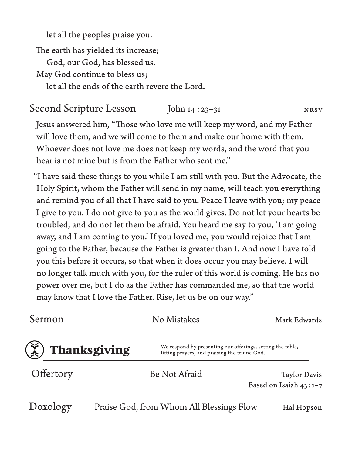let all the peoples praise you.

The earth has yielded its increase;

God, our God, has blessed us.

May God continue to bless us;

let all the ends of the earth revere the Lord.

#### Second Scripture Lesson John 14:23-31 NRSV

Jesus answered him, "Those who love me will keep my word, and my Father will love them, and we will come to them and make our home with them. Whoever does not love me does not keep my words, and the word that you hear is not mine but is from the Father who sent me."

"I have said these things to you while I am still with you. But the Advocate, the Holy Spirit, whom the Father will send in my name, will teach you everything and remind you of all that I have said to you. Peace I leave with you; my peace I give to you. I do not give to you as the world gives. Do not let your hearts be troubled, and do not let them be afraid. You heard me say to you, 'I am going away, and I am coming to you.' If you loved me, you would rejoice that I am going to the Father, because the Father is greater than I. And now I have told you this before it occurs, so that when it does occur you may believe. I will no longer talk much with you, for the ruler of this world is coming. He has no power over me, but I do as the Father has commanded me, so that the world may know that I love the Father. Rise, let us be on our way."

| Sermon                                                                   | No Mistakes                                                                                                 | Mark Edwards             |
|--------------------------------------------------------------------------|-------------------------------------------------------------------------------------------------------------|--------------------------|
| $\left(\begin{matrix} \times \\ \times \end{matrix}\right)$ Thanksgiving | We respond by presenting our offerings, setting the table,<br>lifting prayers, and praising the triune God. |                          |
| Offertory                                                                | Be Not Afraid                                                                                               | <b>Taylor Davis</b>      |
|                                                                          |                                                                                                             | Based on Isaiah $43:1-7$ |
| Doxology                                                                 | Praise God, from Whom All Blessings Flow                                                                    | Hal Hopson               |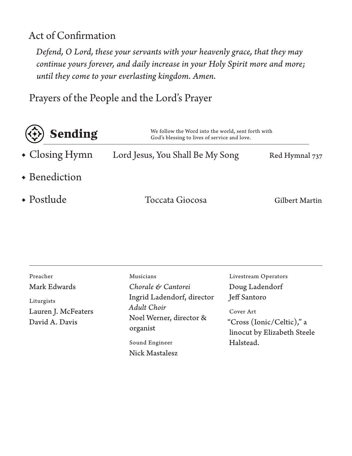### Act of Confirmation

*Defend, O Lord, these your servants with your heavenly grace, that they may continue yours forever, and daily increase in your Holy Spirit more and more; until they come to your everlasting kingdom. Amen.*

Prayers of the People and the Lord's Prayer

| $(\hat{\leftrightarrow})$ Sending | We follow the Word into the world, sent forth with<br>God's blessing to lives of service and love. |                |  |
|-----------------------------------|----------------------------------------------------------------------------------------------------|----------------|--|
| $\bullet$ Closing Hymn            | Lord Jesus, You Shall Be My Song                                                                   | Red Hymnal 737 |  |
| • Benediction                     |                                                                                                    |                |  |
| • Postlude                        | Toccata Giocosa                                                                                    | Gilbert Martin |  |

| Preacher                                            | Musicians                                                                                                            | Livestream Operators                                                                               |
|-----------------------------------------------------|----------------------------------------------------------------------------------------------------------------------|----------------------------------------------------------------------------------------------------|
| Mark Edwards                                        | Chorale & Cantorei                                                                                                   | Doug Ladendorf                                                                                     |
| Liturgists<br>Lauren J. McFeaters<br>David A. Davis | Ingrid Ladendorf, director<br>Adult Choir<br>Noel Werner, director &<br>organist<br>Sound Engineer<br>Nick Mastalesz | Jeff Santoro<br>Cover Art<br>"Cross (Ionic/Celtic)," a<br>linocut by Elizabeth Steele<br>Halstead. |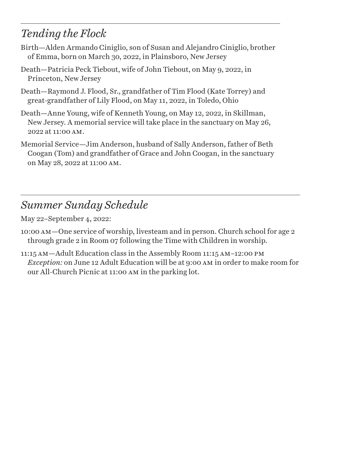## *Tending the Flock*

- Birth—Alden Armando Ciniglio, son of Susan and Alejandro Ciniglio, brother of Emma, born on March 30, 2022, in Plainsboro, New Jersey
- Death—Patricia Peck Tiebout, wife of John Tiebout, on May 9, 2022, in Princeton, New Jersey
- Death—Raymond J. Flood, Sr., grandfather of Tim Flood (Kate Torrey) and great-grandfather of Lily Flood, on May 11, 2022, in Toledo, Ohio
- Death—Anne Young, wife of Kenneth Young, on May 12, 2022, in Skillman, New Jersey. A memorial service will take place in the sanctuary on May 26, 2022 at 11:00 am.
- Memorial Service—Jim Anderson, husband of Sally Anderson, father of Beth Coogan (Tom) and grandfather of Grace and John Coogan, in the sanctuary on May 28, 2022 at 11:00 am.

# *Summer Sunday Schedule*

May 22–September 4, 2022:

- 10:00 am—One service of worship, livesteam and in person. Church school for age 2 through grade 2 in Room 07 following the Time with Children in worship.
- 11:15 am—Adult Education class in the Assembly Room 11:15 am–12:00 pm *Exception:* on June 12 Adult Education will be at 9:00 am in order to make room for our All-Church Picnic at 11:00 am in the parking lot.